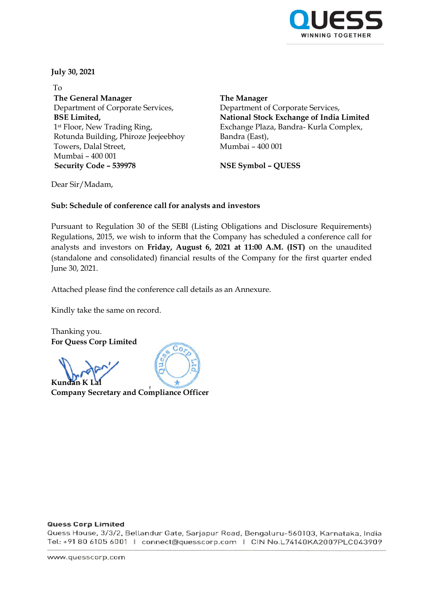

**July 30, 2021**

To **The General Manager** Department of Corporate Services, **BSE Limited,** 1st Floor, New Trading Ring, Rotunda Building, Phiroze Jeejeebhoy Towers, Dalal Street, Mumbai – 400 001 **Security Code – 539978 NSE Symbol – QUESS**

**The Manager** Department of Corporate Services, **National Stock Exchange of India Limited** Exchange Plaza, Bandra- Kurla Complex, Bandra (East), Mumbai – 400 001

Dear Sir/Madam,

### **Sub: Schedule of conference call for analysts and investors**

Pursuant to Regulation 30 of the SEBI (Listing Obligations and Disclosure Requirements) Regulations, 2015, we wish to inform that the Company has scheduled a conference call for analysts and investors on **Friday, August 6, 2021 at 11:00 A.M. (IST)** on the unaudited (standalone and consolidated) financial results of the Company for the first quarter ended June 30, 2021.

Attached please find the conference call details as an Annexure.

Kindly take the same on record.

Thanking you. **For Quess Corp Limited**

**Kundan K l** 

**Company Secretary and Compliance Officer**

#### **Quess Corp Limited**

Quess House, 3/3/2, Bellandur Gate, Sarjapur Road, Bengaluru-560103, Karnataka, India Tel: +91 80 6105 6001 | connect@quesscorp.com | CIN No.L74140KA2007PLC043909